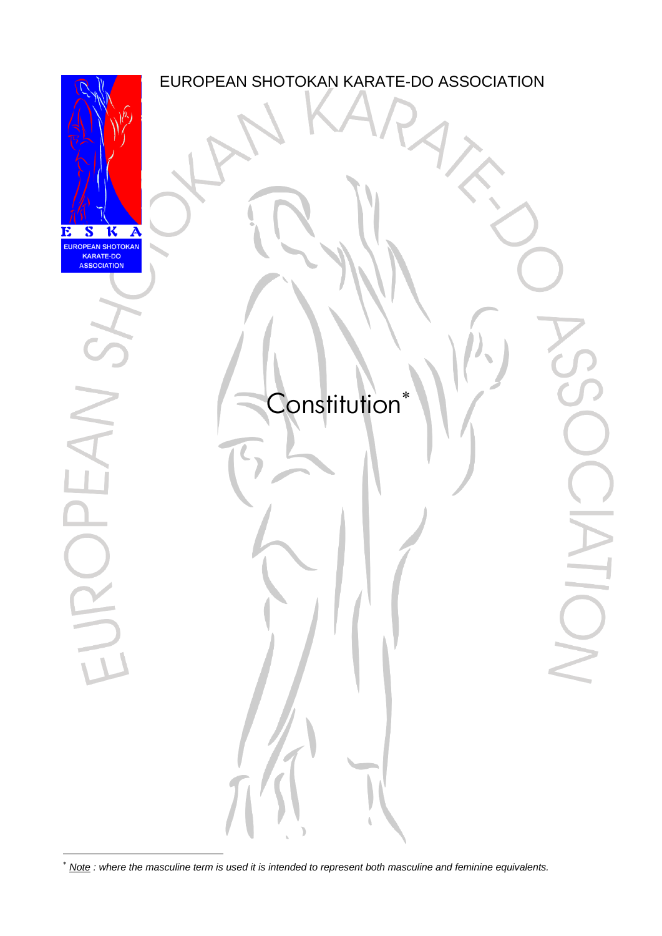

*Note : where the masculine term is used it is intended to represent both masculine and feminine equivalents.*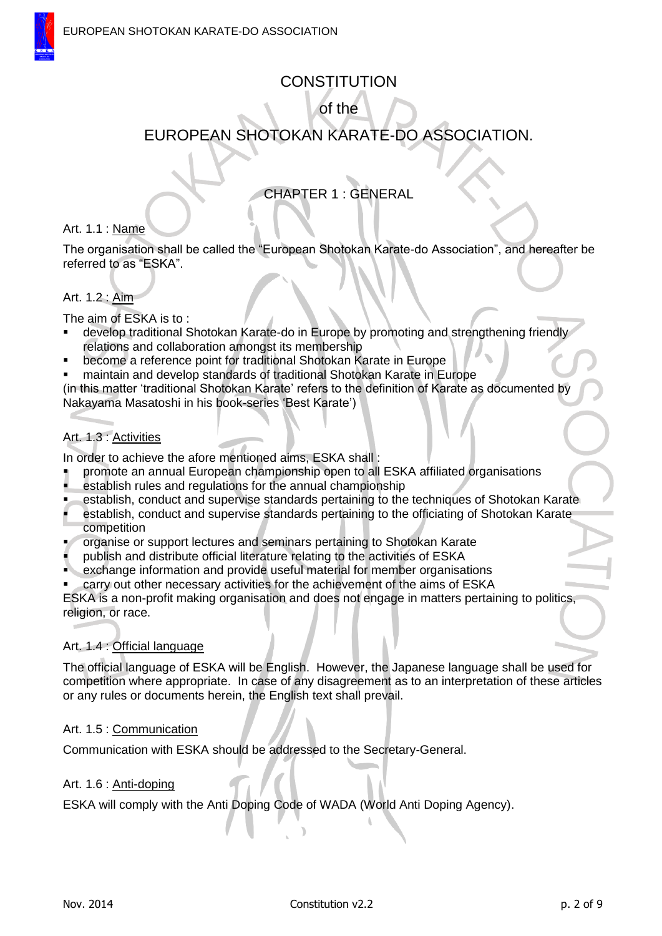# **CONSTITUTION**

of the

# EUROPEAN SHOTOKAN KARATE-DO ASSOCIATION.

# CHAPTER 1 : GENERAL

### Art. 1.1 : Name

The organisation shall be called the "European Shotokan Karate-do Association", and hereafter be referred to as "ESKA".

### Art. 1.2 : Aim

The aim of ESKA is to :

- develop traditional Shotokan Karate-do in Europe by promoting and strengthening friendly relations and collaboration amongst its membership
- become a reference point for traditional Shotokan Karate in Europe
- maintain and develop standards of traditional Shotokan Karate in Europe

(in this matter 'traditional Shotokan Karate' refers to the definition of Karate as documented by Nakayama Masatoshi in his book-series 'Best Karate')

# Art. 1.3 : Activities

In order to achieve the afore mentioned aims, ESKA shall :

- promote an annual European championship open to all ESKA affiliated organisations
- establish rules and regulations for the annual championship
- establish, conduct and supervise standards pertaining to the techniques of Shotokan Karate
- establish, conduct and supervise standards pertaining to the officiating of Shotokan Karate competition
- organise or support lectures and seminars pertaining to Shotokan Karate
- publish and distribute official literature relating to the activities of ESKA
- exchange information and provide useful material for member organisations
- carry out other necessary activities for the achievement of the aims of ESKA

ESKA is a non-profit making organisation and does not engage in matters pertaining to politics, religion, or race.

### Art. 1.4 : Official language

The official language of ESKA will be English. However, the Japanese language shall be used for competition where appropriate. In case of any disagreement as to an interpretation of these articles or any rules or documents herein, the English text shall prevail.

### Art. 1.5 : Communication

Communication with ESKA should be addressed to the Secretary-General.

### Art. 1.6 : Anti-doping

ESKA will comply with the Anti Doping Code of WADA (World Anti Doping Agency).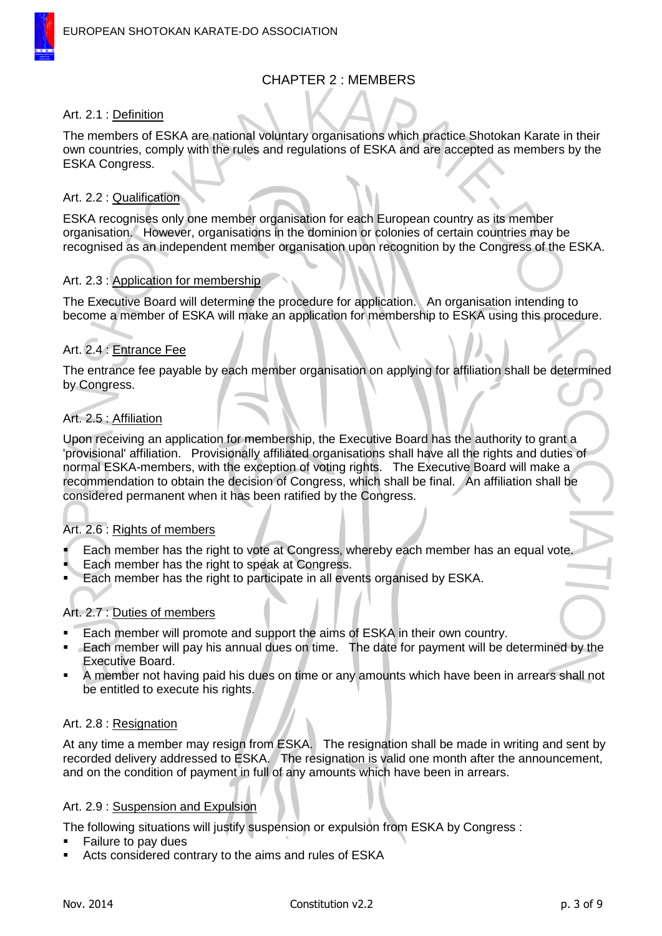# CHAPTER 2 : MEMBERS

### Art. 2.1 : Definition

The members of ESKA are national voluntary organisations which practice Shotokan Karate in their own countries, comply with the rules and regulations of ESKA and are accepted as members by the ESKA Congress.

### Art. 2.2 : Qualification

ESKA recognises only one member organisation for each European country as its member organisation. However, organisations in the dominion or colonies of certain countries may be recognised as an independent member organisation upon recognition by the Congress of the ESKA.

### Art. 2.3 : Application for membership

The Executive Board will determine the procedure for application. An organisation intending to become a member of ESKA will make an application for membership to ESKA using this procedure.

### Art. 2.4 : Entrance Fee

The entrance fee payable by each member organisation on applying for affiliation shall be determined by Congress.

### Art. 2.5 : Affiliation

Upon receiving an application for membership, the Executive Board has the authority to grant a 'provisional' affiliation. Provisionally affiliated organisations shall have all the rights and duties of normal ESKA-members, with the exception of voting rights. The Executive Board will make a recommendation to obtain the decision of Congress, which shall be final. An affiliation shall be considered permanent when it has been ratified by the Congress.

### Art. 2.6 : Rights of members

- Each member has the right to vote at Congress, whereby each member has an equal vote.
- Each member has the right to speak at Congress.
- Each member has the right to participate in all events organised by ESKA.

### Art. 2.7 : Duties of members

- Each member will promote and support the aims of ESKA in their own country.
- **Each member will pay his annual dues on time.** The date for payment will be determined by the Executive Board.
- A member not having paid his dues on time or any amounts which have been in arrears shall not be entitled to execute his rights.

### Art. 2.8 : Resignation

At any time a member may resign from ESKA. The resignation shall be made in writing and sent by recorded delivery addressed to ESKA. The resignation is valid one month after the announcement, and on the condition of payment in full of any amounts which have been in arrears.

### Art. 2.9 : Suspension and Expulsion

The following situations will justify suspension or expulsion from ESKA by Congress :

- Failure to pay dues
- Acts considered contrary to the aims and rules of ESKA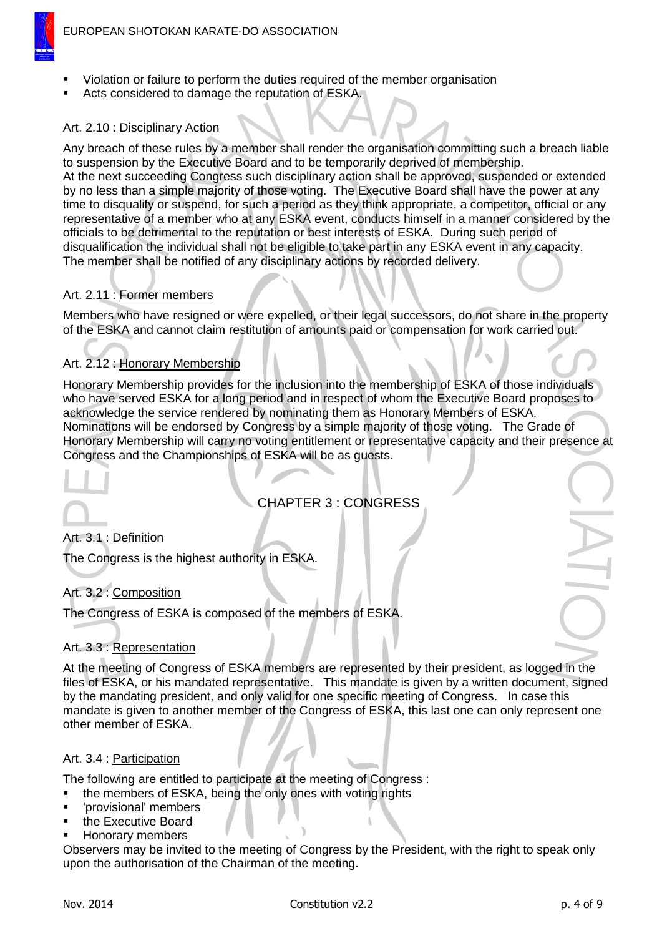

- Violation or failure to perform the duties required of the member organisation
- Acts considered to damage the reputation of ESKA.

### Art. 2.10 : Disciplinary Action

Any breach of these rules by a member shall render the organisation committing such a breach liable to suspension by the Executive Board and to be temporarily deprived of membership. At the next succeeding Congress such disciplinary action shall be approved, suspended or extended

by no less than a simple majority of those voting. The Executive Board shall have the power at any time to disqualify or suspend, for such a period as they think appropriate, a competitor, official or any representative of a member who at any ESKA event, conducts himself in a manner considered by the officials to be detrimental to the reputation or best interests of ESKA. During such period of disqualification the individual shall not be eligible to take part in any ESKA event in any capacity. The member shall be notified of any disciplinary actions by recorded delivery.

### Art. 2.11 : Former members

Members who have resigned or were expelled, or their legal successors, do not share in the property of the ESKA and cannot claim restitution of amounts paid or compensation for work carried out.

### Art. 2.12 : Honorary Membership

Honorary Membership provides for the inclusion into the membership of ESKA of those individuals who have served ESKA for a long period and in respect of whom the Executive Board proposes to acknowledge the service rendered by nominating them as Honorary Members of ESKA. Nominations will be endorsed by Congress by a simple majority of those voting. The Grade of Honorary Membership will carry no voting entitlement or representative capacity and their presence at Congress and the Championships of ESKA will be as guests.

# CHAPTER 3 : CONGRESS

### Art. 3.1 : Definition

The Congress is the highest authority in ESKA.

### Art. 3.2 : Composition

The Congress of ESKA is composed of the members of ESKA.

### Art. 3.3 : Representation

At the meeting of Congress of ESKA members are represented by their president, as logged in the files of ESKA, or his mandated representative. This mandate is given by a written document, signed by the mandating president, and only valid for one specific meeting of Congress. In case this mandate is given to another member of the Congress of ESKA, this last one can only represent one other member of ESKA.

### Art. 3.4 : Participation

The following are entitled to participate at the meeting of Congress :

- the members of ESKA, being the only ones with voting rights
- 'provisional' members
- the Executive Board
- Honorary members

Observers may be invited to the meeting of Congress by the President, with the right to speak only upon the authorisation of the Chairman of the meeting.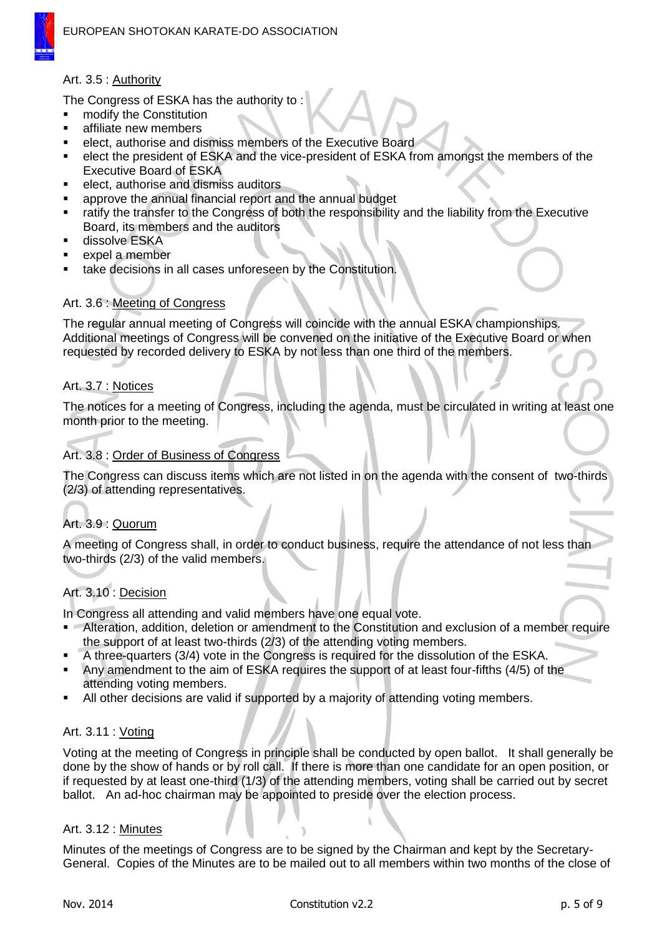

### Art. 3.5 : Authority

The Congress of ESKA has the authority to :

- modify the Constitution
- affiliate new members
- elect, authorise and dismiss members of the Executive Board
- elect the president of ESKA and the vice-president of ESKA from amongst the members of the Executive Board of ESKA
- elect, authorise and dismiss auditors
- approve the annual financial report and the annual budget
- ratify the transfer to the Congress of both the responsibility and the liability from the Executive Board, its members and the auditors
- dissolve ESKA
- expel a member
- take decisions in all cases unforeseen by the Constitution.

### Art. 3.6 : Meeting of Congress

The regular annual meeting of Congress will coincide with the annual ESKA championships. Additional meetings of Congress will be convened on the initiative of the Executive Board or when requested by recorded delivery to ESKA by not less than one third of the members.

### Art. 3.7 : Notices

The notices for a meeting of Congress, including the agenda, must be circulated in writing at least one month prior to the meeting.

### Art. 3.8 : Order of Business of Congress

The Congress can discuss items which are not listed in on the agenda with the consent of two-thirds (2/3) of attending representatives.

## Art. 3.9 : Quorum

A meeting of Congress shall, in order to conduct business, require the attendance of not less than two-thirds (2/3) of the valid members.

# Art. 3.10 : Decision

In Congress all attending and valid members have one equal vote.

- **Alteration, addition, deletion or amendment to the Constitution and exclusion of a member require** the support of at least two-thirds (2/3) of the attending voting members.
- A three-quarters (3/4) vote in the Congress is required for the dissolution of the ESKA.
- Any amendment to the aim of ESKA requires the support of at least four-fifths (4/5) of the attending voting members.
- All other decisions are valid if supported by a majority of attending voting members.

### Art. 3.11 : Voting

Voting at the meeting of Congress in principle shall be conducted by open ballot. It shall generally be done by the show of hands or by roll call. If there is more than one candidate for an open position, or if requested by at least one-third (1/3) of the attending members, voting shall be carried out by secret ballot. An ad-hoc chairman may be appointed to preside over the election process.

### Art. 3.12 : Minutes

Minutes of the meetings of Congress are to be signed by the Chairman and kept by the Secretary-General. Copies of the Minutes are to be mailed out to all members within two months of the close of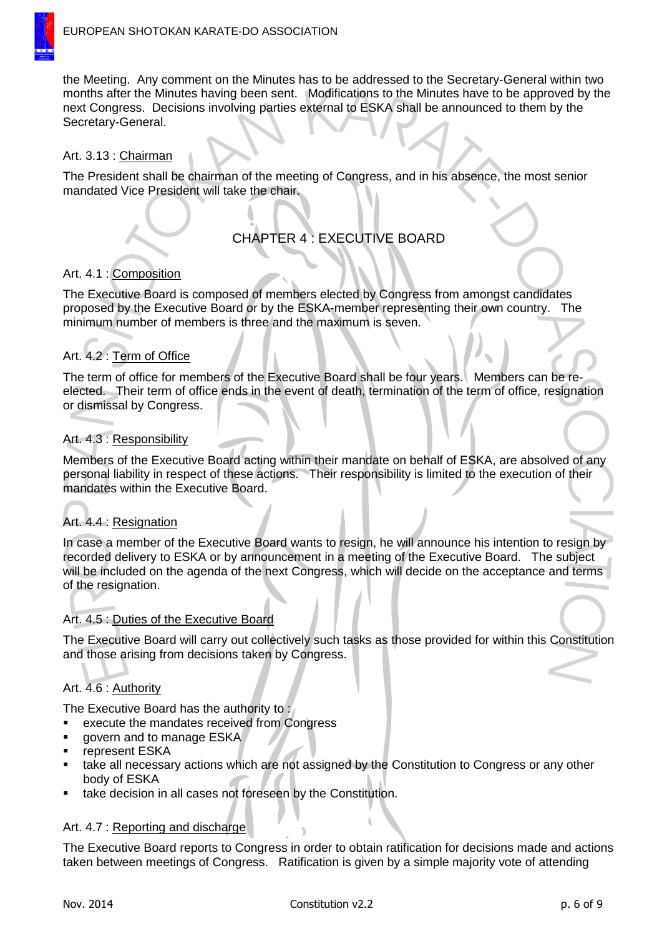

the Meeting. Any comment on the Minutes has to be addressed to the Secretary-General within two months after the Minutes having been sent. Modifications to the Minutes have to be approved by the next Congress. Decisions involving parties external to ESKA shall be announced to them by the Secretary-General.

### Art. 3.13 : Chairman

The President shall be chairman of the meeting of Congress, and in his absence, the most senior mandated Vice President will take the chair.

# CHAPTER 4 : EXECUTIVE BOARD

### Art. 4.1 : Composition

The Executive Board is composed of members elected by Congress from amongst candidates proposed by the Executive Board or by the ESKA-member representing their own country. The minimum number of members is three and the maximum is seven.

## Art. 4.2 : Term of Office

The term of office for members of the Executive Board shall be four years. Members can be reelected. Their term of office ends in the event of death, termination of the term of office, resignation or dismissal by Congress.

### Art. 4.3 : Responsibility

Members of the Executive Board acting within their mandate on behalf of ESKA, are absolved of any personal liability in respect of these actions. Their responsibility is limited to the execution of their mandates within the Executive Board.

## Art. 4.4 : Resignation

In case a member of the Executive Board wants to resign, he will announce his intention to resign by recorded delivery to ESKA or by announcement in a meeting of the Executive Board. The subject will be included on the agenda of the next Congress, which will decide on the acceptance and terms of the resignation.

### Art. 4.5 : Duties of the Executive Board

The Executive Board will carry out collectively such tasks as those provided for within this Constitution and those arising from decisions taken by Congress.

## Art. 4.6 : Authority

The Executive Board has the authority to :

- execute the mandates received from Congress
- govern and to manage ESKA
- represent ESKA
- take all necessary actions which are not assigned by the Constitution to Congress or any other body of ESKA
- take decision in all cases not foreseen by the Constitution.

### Art. 4.7 : Reporting and discharge

The Executive Board reports to Congress in order to obtain ratification for decisions made and actions taken between meetings of Congress. Ratification is given by a simple majority vote of attending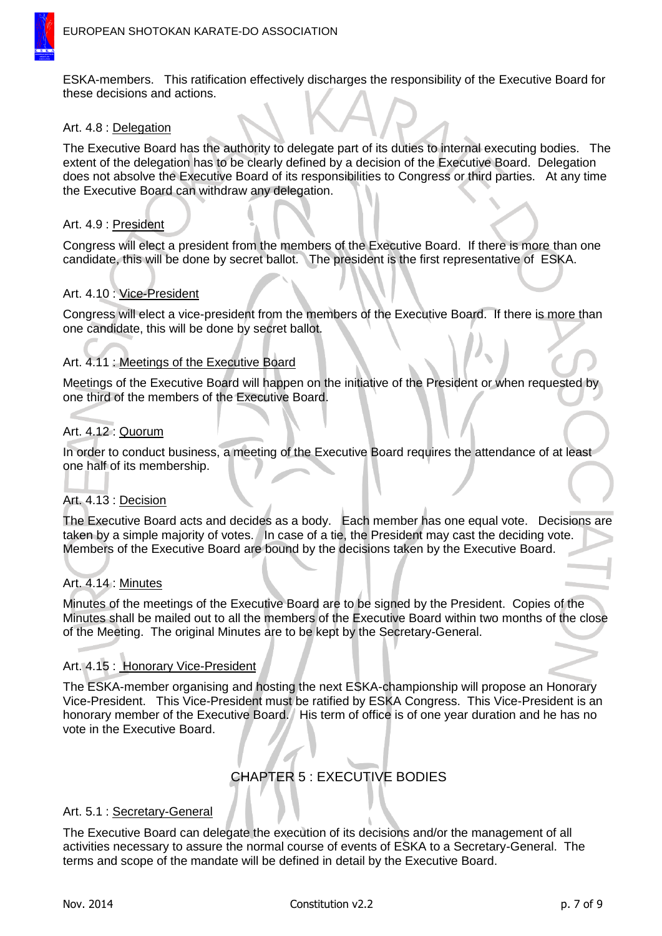

ESKA-members. This ratification effectively discharges the responsibility of the Executive Board for these decisions and actions.

#### Art. 4.8 : Delegation

The Executive Board has the authority to delegate part of its duties to internal executing bodies. The extent of the delegation has to be clearly defined by a decision of the Executive Board. Delegation does not absolve the Executive Board of its responsibilities to Congress or third parties. At any time the Executive Board can withdraw any delegation.

#### Art. 4.9 : President

Congress will elect a president from the members of the Executive Board. If there is more than one candidate, this will be done by secret ballot. The president is the first representative of ESKA.

### Art. 4.10 : Vice-President

Congress will elect a vice-president from the members of the Executive Board. If there is more than one candidate, this will be done by secret ballot.

### Art. 4.11 : Meetings of the Executive Board

Meetings of the Executive Board will happen on the initiative of the President or when requested by one third of the members of the Executive Board.

### Art. 4.12 : Quorum

In order to conduct business, a meeting of the Executive Board requires the attendance of at least one half of its membership.

#### Art. 4.13 : Decision

The Executive Board acts and decides as a body. Each member has one equal vote. Decisions are taken by a simple majority of votes. In case of a tie, the President may cast the deciding vote. Members of the Executive Board are bound by the decisions taken by the Executive Board.

#### Art. 4.14 : Minutes

Minutes of the meetings of the Executive Board are to be signed by the President. Copies of the Minutes shall be mailed out to all the members of the Executive Board within two months of the close of the Meeting. The original Minutes are to be kept by the Secretary-General.

### Art. 4.15 : Honorary Vice-President

The ESKA-member organising and hosting the next ESKA-championship will propose an Honorary Vice-President. This Vice-President must be ratified by ESKA Congress. This Vice-President is an honorary member of the Executive Board. His term of office is of one year duration and he has no vote in the Executive Board.

# CHAPTER 5 : EXECUTIVE BODIES

#### Art. 5.1 : Secretary-General

The Executive Board can delegate the execution of its decisions and/or the management of all activities necessary to assure the normal course of events of ESKA to a Secretary-General. The terms and scope of the mandate will be defined in detail by the Executive Board.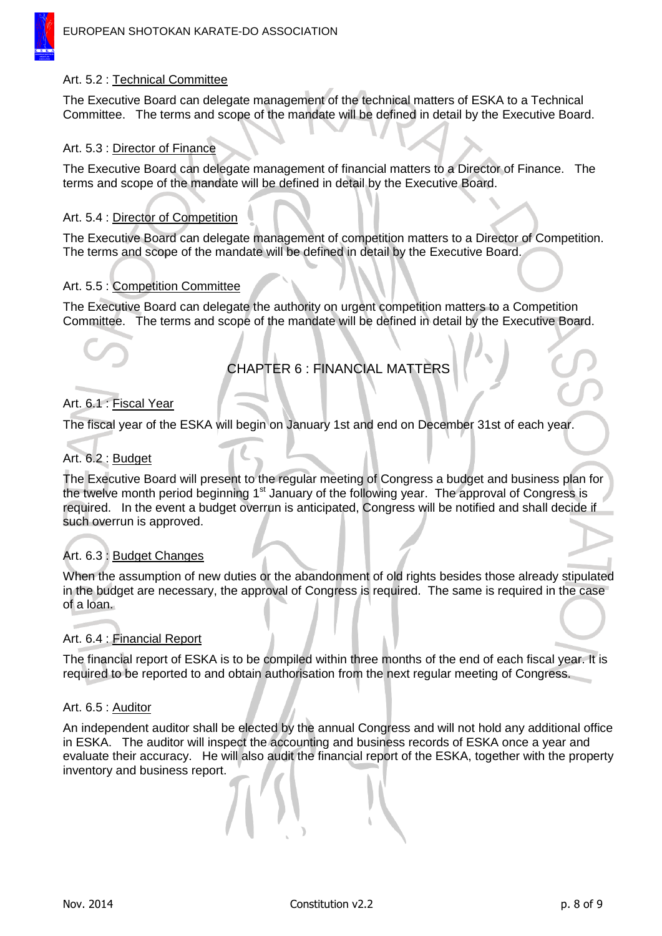### Art. 5.2 : Technical Committee

The Executive Board can delegate management of the technical matters of ESKA to a Technical Committee. The terms and scope of the mandate will be defined in detail by the Executive Board.

### Art. 5.3 : Director of Finance

The Executive Board can delegate management of financial matters to a Director of Finance. The terms and scope of the mandate will be defined in detail by the Executive Board.

### Art. 5.4 : Director of Competition

The Executive Board can delegate management of competition matters to a Director of Competition. The terms and scope of the mandate will be defined in detail by the Executive Board.

### Art. 5.5 : Competition Committee

The Executive Board can delegate the authority on urgent competition matters to a Competition Committee. The terms and scope of the mandate will be defined in detail by the Executive Board.

# CHAPTER 6 : FINANCIAL MATTERS

### Art. 6.1 : Fiscal Year

The fiscal year of the ESKA will begin on January 1st and end on December 31st of each year.

### Art. 6.2 : Budget

The Executive Board will present to the regular meeting of Congress a budget and business plan for the twelve month period beginning 1<sup>st</sup> January of the following year. The approval of Congress is required. In the event a budget overrun is anticipated, Congress will be notified and shall decide if such overrun is approved.

### Art. 6.3 : Budget Changes

When the assumption of new duties or the abandonment of old rights besides those already stipulated in the budget are necessary, the approval of Congress is required. The same is required in the case of a loan.

### Art. 6.4 : Financial Report

The financial report of ESKA is to be compiled within three months of the end of each fiscal year. It is required to be reported to and obtain authorisation from the next regular meeting of Congress.

### Art. 6.5 : Auditor

An independent auditor shall be elected by the annual Congress and will not hold any additional office in ESKA. The auditor will inspect the accounting and business records of ESKA once a year and evaluate their accuracy. He will also audit the financial report of the ESKA, together with the property inventory and business report.